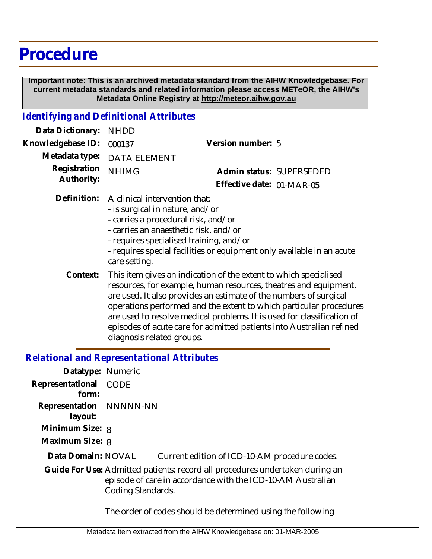# **Procedure**

 **Important note: This is an archived metadata standard from the AIHW Knowledgebase. For current metadata standards and related information please access METeOR, the AIHW's Metadata Online Registry at http://meteor.aihw.gov.au**

### *Identifying and Definitional Attributes*

| Data Dictionary: NHDD      |                                                                              |                           |                          |
|----------------------------|------------------------------------------------------------------------------|---------------------------|--------------------------|
| Knowledgebase ID: 000137   |                                                                              | Version number: 5         |                          |
|                            | Metadata type: DATA ELEMENT                                                  |                           |                          |
| Registration<br>Authority: | <b>NHIMG</b>                                                                 |                           | Admin status: SUPERSEDED |
|                            |                                                                              | Effective date: 01-MAR-05 |                          |
|                            | Definition: A clinical intervention that:<br>- is surgical in nature, and/or |                           |                          |

- carries a procedural risk, and/or
- carries an anaesthetic risk, and/or
- requires specialised training, and/or
- requires special facilities or equipment only available in an acute care setting.
- This item gives an indication of the extent to which specialised resources, for example, human resources, theatres and equipment, are used. It also provides an estimate of the numbers of surgical operations performed and the extent to which particular procedures are used to resolve medical problems. It is used for classification of episodes of acute care for admitted patients into Australian refined diagnosis related groups. **Context:**

### *Relational and Representational Attributes*

| Datatype: Numeric                  |                   |                                                                                                                                             |
|------------------------------------|-------------------|---------------------------------------------------------------------------------------------------------------------------------------------|
| Representational<br>form:          | CODE              |                                                                                                                                             |
| Representation NNNNN-NN<br>layout: |                   |                                                                                                                                             |
| Minimum Size: 8                    |                   |                                                                                                                                             |
| Maximum Size: 8                    |                   |                                                                                                                                             |
| Data Domain: NOVAL                 |                   | Current edition of ICD-10-AM procedure codes.                                                                                               |
|                                    | Coding Standards. | Guide For Use: Admitted patients: record all procedures undertaken during an<br>episode of care in accordance with the ICD-10-AM Australian |

The order of codes should be determined using the following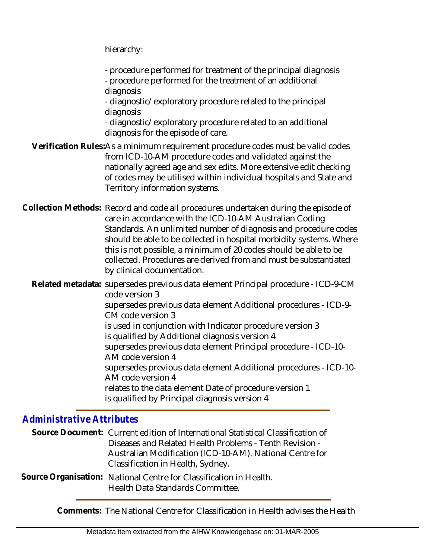hierarchy:

- procedure performed for treatment of the principal diagnosis

- procedure performed for the treatment of an additional diagnosis

- diagnostic/exploratory procedure related to the principal diagnosis

- diagnostic/exploratory procedure related to an additional diagnosis for the episode of care.

Verification Rules:As a minimum requirement procedure codes must be valid codes from ICD-10-AM procedure codes and validated against the nationally agreed age and sex edits. More extensive edit checking of codes may be utilised within individual hospitals and State and Territory information systems.

Collection Methods: Record and code all procedures undertaken during the episode of care in accordance with the ICD-10-AM Australian Coding Standards. An unlimited number of diagnosis and procedure codes should be able to be collected in hospital morbidity systems. Where this is not possible, a minimum of 20 codes should be able to be collected. Procedures are derived from and must be substantiated by clinical documentation.

Related metadata: supersedes previous data element Principal procedure - ICD-9-CM code version 3 supersedes previous data element Additional procedures - ICD-9- CM code version 3 is used in conjunction with Indicator procedure version 3

is qualified by Additional diagnosis version 4

supersedes previous data element Principal procedure - ICD-10-

AM code version 4

supersedes previous data element Additional procedures - ICD-10- AM code version 4

relates to the data element Date of procedure version 1 is qualified by Principal diagnosis version 4

## *Administrative Attributes*

|  | Source Document: Current edition of International Statistical Classification of |  |
|--|---------------------------------------------------------------------------------|--|
|  | Diseases and Related Health Problems - Tenth Revision -                         |  |
|  | Australian Modification (ICD-10-AM). National Centre for                        |  |
|  | Classification in Health, Sydney.                                               |  |
|  | Source Organisation:   National Centre for Classification in Health             |  |

Source Organisation: National Centre for Classification in Health. Health Data Standards Committee.

**Comments:** The National Centre for Classification in Health advises the Health